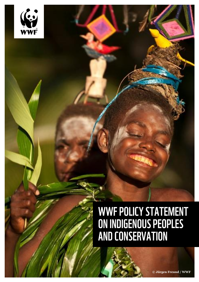

## WWF POLICY STATEMENT<br>ON INDIGENOUS PEOPLES<br>AND CONSERVATION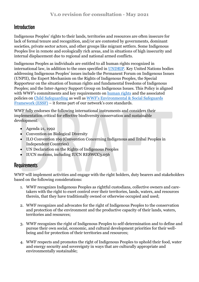## **Introduction**

Indigenous Peoples' rights to their lands, territories and resources are often insecure for lack of formal tenure and recognition, and/or are contested by governments, dominant societies, private sector actors, and other groups like migrant settlers. Some Indigenous Peoples live in remote and ecologically rich areas, and in situations of high insecurity and internal displacement due to regional and national armed conflicts.

Indigenous Peoples as individuals are entitled to all human rights recognized in international law, in addition to the ones specified in [UNDRIP.](https://www.un.org/development/desa/indigenouspeoples/declaration-on-the-rights-of-indigenous-peoples.html) Key United Nations bodies addressing Indigenous Peoples' issues include the Permanent Forum on Indigenous Issues (UNPII), the Expert Mechanism on the Rights of Indigenous Peoples, the Special Rapporteur on the situation of human rights and fundamental freedoms of Indigenous Peoples; and the Inter-Agency Support Group on Indigenous Issues. This Policy is aligned with WWF's commitments and key requirements on [human rights](https://wwfint.awsassets.panda.org/downloads/wwf_policy_statement_on_human_rights_consultation_draft.pdf) and the associated policies on [Child Safeguarding](https://wwfint.awsassets.panda.org/downloads/core_standard___child_safeguarding_vjun2018.pdf) as well as [WWF's Environmental & Social Safeguards](https://wwfint.awsassets.panda.org/downloads/wwf_environmental_and_social_safeguards_framework_consultation_draft.pdf)  [Framework \(ESSF\)](https://wwfint.awsassets.panda.org/downloads/wwf_environmental_and_social_safeguards_framework_consultation_draft.pdf) – it forms part of our network's core standards.

WWF fully endorses the following international instruments and considers their implementation critical for effective biodiversity conservation and sustainable development:

- Agenda 21, 1992
- Convention on Biological Diversity
- ILO Convention 169 (Convention Concerning Indigenous and Tribal Peoples in Independent Countries)
- UN Declaration on the Rights of Indigenous Peoples
- IUCN motions, including IUCN RESWCC3.056

## **Requirements**

WWF will implement activities and engage with the right holders, duty bearers and stakeholders based on the following considerations:

- 1. WWF recognizes Indigenous Peoples as rightful custodians, collective owners and caretakers with the right to exert control over their territories, lands, waters, and resources therein, that they have traditionally owned or otherwise occupied and used;
- 2. WWF recognizes and advocates for the right of Indigenous Peoples to the conservation and protection of the environment and the productive capacity of their lands, waters, territories and resources;
- 3. WWF recognizes the right of Indigenous Peoples to self-determination and to define and pursue their own social, economic, and cultural development priorities for their wellbeing and for protection of their territories and resources;
- 4. WWF respects and promotes the right of Indigenous Peoples to uphold their food, water and energy security and sovereignty in ways that are culturally appropriate and environmentally sustainable;